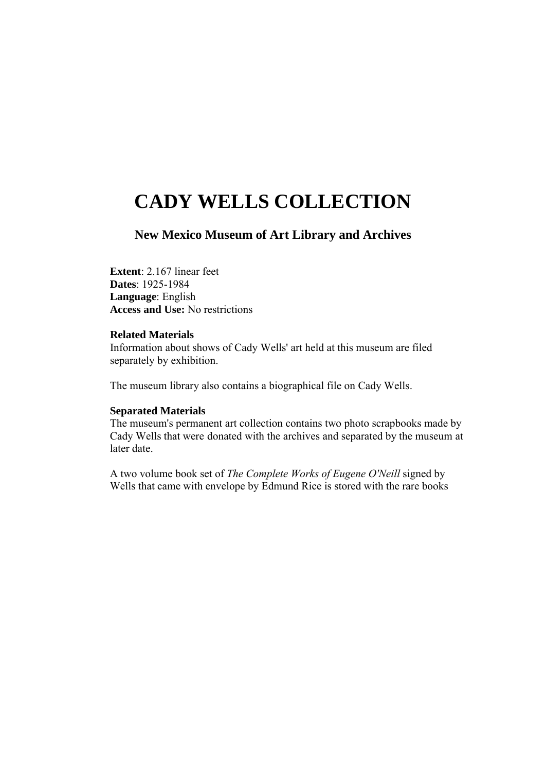# **CADY WELLS COLLECTION**

## **New Mexico Museum of Art Library and Archives**

**Extent**: 2.167 linear feet **Dates**: 1925-1984 **Language**: English **Access and Use:** No restrictions

#### **Related Materials**

Information about shows of Cady Wells' art held at this museum are filed separately by exhibition.

The museum library also contains a biographical file on Cady Wells.

#### **Separated Materials**

The museum's permanent art collection contains two photo scrapbooks made by Cady Wells that were donated with the archives and separated by the museum at later date.

A two volume book set of *The Complete Works of Eugene O'Neill* signed by Wells that came with envelope by Edmund Rice is stored with the rare books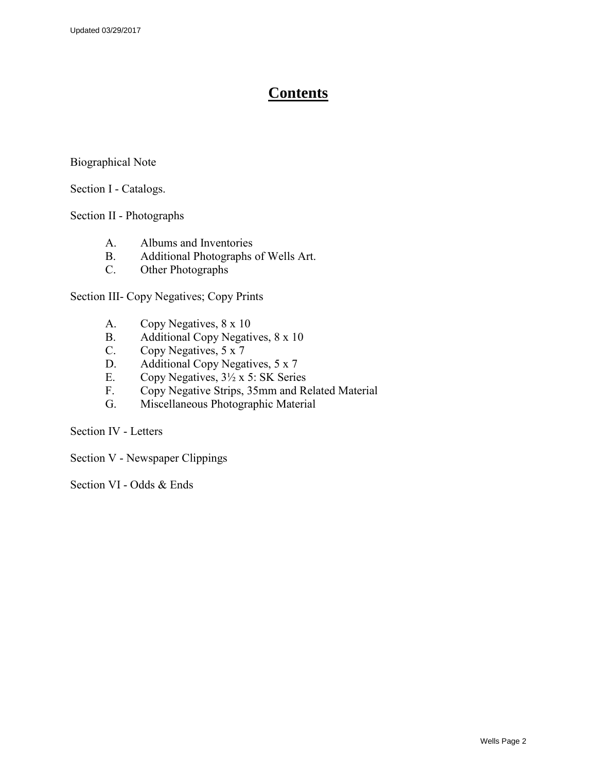# **Contents**

#### Biographical Note

#### Section I - Catalogs.

#### Section II - Photographs

- A. Albums and Inventories
- B. Additional Photographs of Wells Art.<br>C. Other Photographs
- Other Photographs

Section III- Copy Negatives; Copy Prints

- A. Copy Negatives, 8 x 10
- B. Additional Copy Negatives, 8 x 10
- C. Copy Negatives, 5 x 7
- D. Additional Copy Negatives, 5 x 7
- E. Copy Negatives,  $3\frac{1}{2} \times 5$ : SK Series
- F. Copy Negative Strips, 35mm and Related Material
- G. Miscellaneous Photographic Material

Section IV - Letters

Section V - Newspaper Clippings

Section VI - Odds & Ends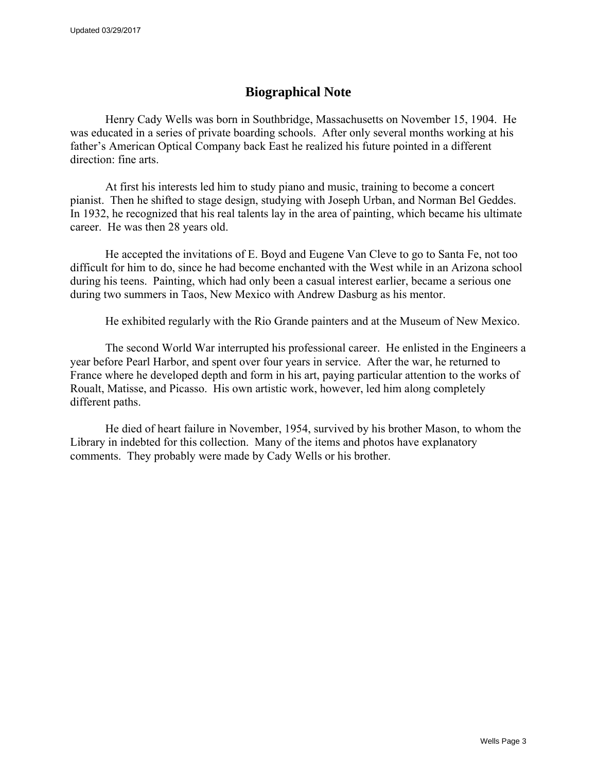## **Biographical Note**

Henry Cady Wells was born in Southbridge, Massachusetts on November 15, 1904. He was educated in a series of private boarding schools. After only several months working at his father's American Optical Company back East he realized his future pointed in a different direction: fine arts.

At first his interests led him to study piano and music, training to become a concert pianist. Then he shifted to stage design, studying with Joseph Urban, and Norman Bel Geddes. In 1932, he recognized that his real talents lay in the area of painting, which became his ultimate career. He was then 28 years old.

He accepted the invitations of E. Boyd and Eugene Van Cleve to go to Santa Fe, not too difficult for him to do, since he had become enchanted with the West while in an Arizona school during his teens. Painting, which had only been a casual interest earlier, became a serious one during two summers in Taos, New Mexico with Andrew Dasburg as his mentor.

He exhibited regularly with the Rio Grande painters and at the Museum of New Mexico.

The second World War interrupted his professional career. He enlisted in the Engineers a year before Pearl Harbor, and spent over four years in service. After the war, he returned to France where he developed depth and form in his art, paying particular attention to the works of Roualt, Matisse, and Picasso. His own artistic work, however, led him along completely different paths.

He died of heart failure in November, 1954, survived by his brother Mason, to whom the Library in indebted for this collection. Many of the items and photos have explanatory comments. They probably were made by Cady Wells or his brother.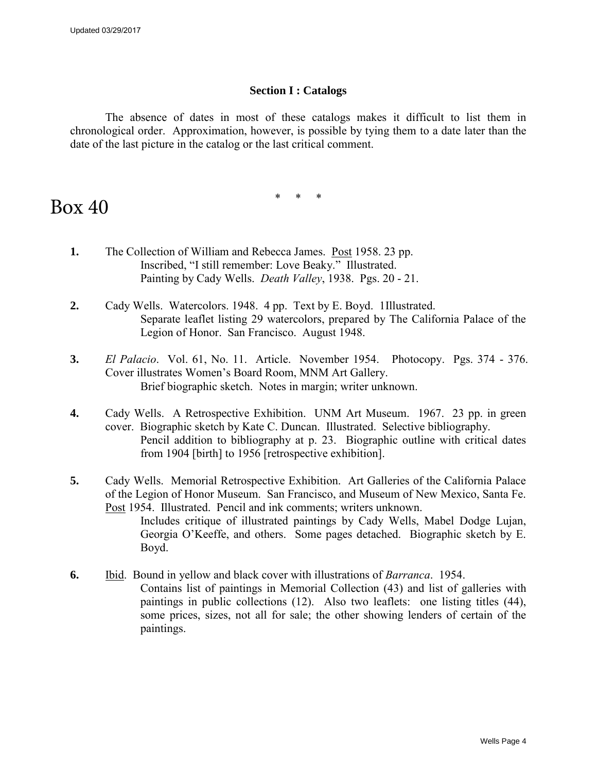#### **Section I : Catalogs**

The absence of dates in most of these catalogs makes it difficult to list them in chronological order. Approximation, however, is possible by tying them to a date later than the date of the last picture in the catalog or the last critical comment.

\* \* \*

# Box 40

- **1.** The Collection of William and Rebecca James. Post 1958. 23 pp. Inscribed, "I still remember: Love Beaky." Illustrated. Painting by Cady Wells. *Death Valley*, 1938. Pgs. 20 - 21.
- **2.** Cady Wells. Watercolors. 1948. 4 pp. Text by E. Boyd. 1Illustrated. Separate leaflet listing 29 watercolors, prepared by The California Palace of the Legion of Honor. San Francisco. August 1948.
- **3.** *El Palacio*. Vol. 61, No. 11. Article. November 1954. Photocopy. Pgs. 374 376. Cover illustrates Women's Board Room, MNM Art Gallery. Brief biographic sketch. Notes in margin; writer unknown.
- **4.** Cady Wells. A Retrospective Exhibition. UNM Art Museum. 1967. 23 pp. in green cover. Biographic sketch by Kate C. Duncan. Illustrated. Selective bibliography. Pencil addition to bibliography at p. 23. Biographic outline with critical dates from 1904 [birth] to 1956 [retrospective exhibition].
- **5.** Cady Wells. Memorial Retrospective Exhibition. Art Galleries of the California Palace of the Legion of Honor Museum. San Francisco, and Museum of New Mexico, Santa Fe. Post 1954. Illustrated. Pencil and ink comments; writers unknown. Includes critique of illustrated paintings by Cady Wells, Mabel Dodge Lujan, Georgia O'Keeffe, and others. Some pages detached. Biographic sketch by E. Boyd.
- **6.** Ibid. Bound in yellow and black cover with illustrations of *Barranca*. 1954. Contains list of paintings in Memorial Collection (43) and list of galleries with paintings in public collections (12). Also two leaflets: one listing titles (44), some prices, sizes, not all for sale; the other showing lenders of certain of the paintings.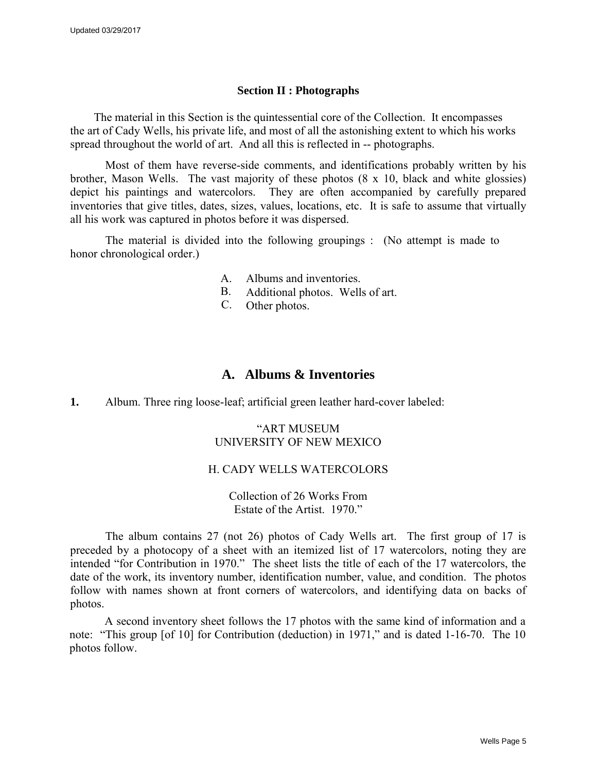#### **Section II : Photographs**

The material in this Section is the quintessential core of the Collection. It encompasses the art of Cady Wells, his private life, and most of all the astonishing extent to which his works spread throughout the world of art. And all this is reflected in -- photographs.

Most of them have reverse-side comments, and identifications probably written by his brother, Mason Wells. The vast majority of these photos (8 x 10, black and white glossies) depict his paintings and watercolors. They are often accompanied by carefully prepared inventories that give titles, dates, sizes, values, locations, etc. It is safe to assume that virtually all his work was captured in photos before it was dispersed.

The material is divided into the following groupings : (No attempt is made to honor chronological order.)

- A. Albums and inventories.
- B. Additional photos. Wells of art.
- C. Other photos.

## **A. Albums & Inventories**

**1.** Album. Three ring loose-leaf; artificial green leather hard-cover labeled:

#### "ART MUSEUM UNIVERSITY OF NEW MEXICO

#### H. CADY WELLS WATERCOLORS

Collection of 26 Works From Estate of the Artist. 1970."

The album contains 27 (not 26) photos of Cady Wells art. The first group of 17 is preceded by a photocopy of a sheet with an itemized list of 17 watercolors, noting they are intended "for Contribution in 1970." The sheet lists the title of each of the 17 watercolors, the date of the work, its inventory number, identification number, value, and condition. The photos follow with names shown at front corners of watercolors, and identifying data on backs of photos.

A second inventory sheet follows the 17 photos with the same kind of information and a note: "This group [of 10] for Contribution (deduction) in 1971," and is dated 1-16-70. The 10 photos follow.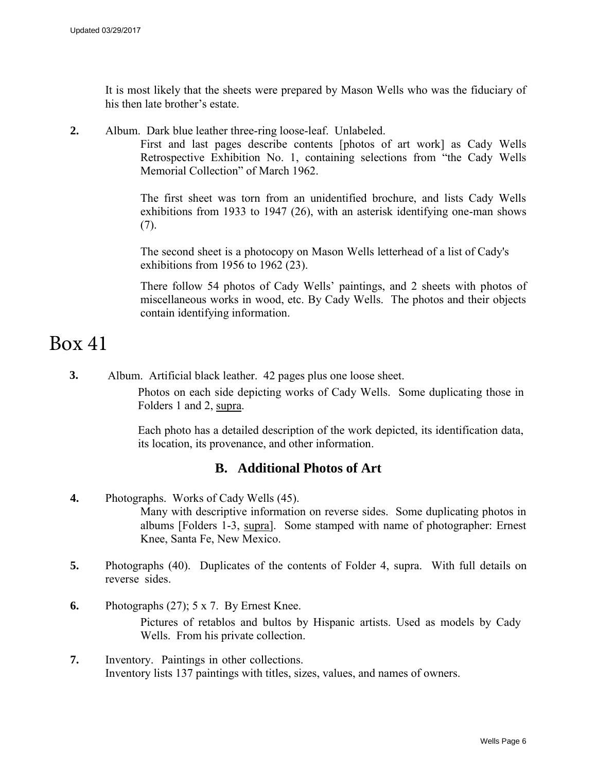It is most likely that the sheets were prepared by Mason Wells who was the fiduciary of his then late brother's estate.

**2.** Album. Dark blue leather three-ring loose-leaf. Unlabeled.

First and last pages describe contents [photos of art work] as Cady Wells Retrospective Exhibition No. 1, containing selections from "the Cady Wells Memorial Collection" of March 1962.

The first sheet was torn from an unidentified brochure, and lists Cady Wells exhibitions from 1933 to 1947 (26), with an asterisk identifying one-man shows  $(7)$ .

The second sheet is a photocopy on Mason Wells letterhead of a list of Cady's exhibitions from 1956 to 1962 (23).

There follow 54 photos of Cady Wells' paintings, and 2 sheets with photos of miscellaneous works in wood, etc. By Cady Wells. The photos and their objects contain identifying information.

# Box 41

**3.** Album. Artificial black leather. 42 pages plus one loose sheet.

Photos on each side depicting works of Cady Wells. Some duplicating those in Folders 1 and 2, supra.

Each photo has a detailed description of the work depicted, its identification data, its location, its provenance, and other information.

## **B. Additional Photos of Art**

- **4.** Photographs. Works of Cady Wells (45). Many with descriptive information on reverse sides. Some duplicating photos in albums [Folders 1-3, supra]. Some stamped with name of photographer: Ernest Knee, Santa Fe, New Mexico.
- **5.** Photographs (40). Duplicates of the contents of Folder 4, supra. With full details on reverse sides.
- **6.** Photographs (27); 5 x 7. By Ernest Knee. Pictures of retablos and bultos by Hispanic artists. Used as models by Cady Wells. From his private collection.
- **7.** Inventory. Paintings in other collections. Inventory lists 137 paintings with titles, sizes, values, and names of owners.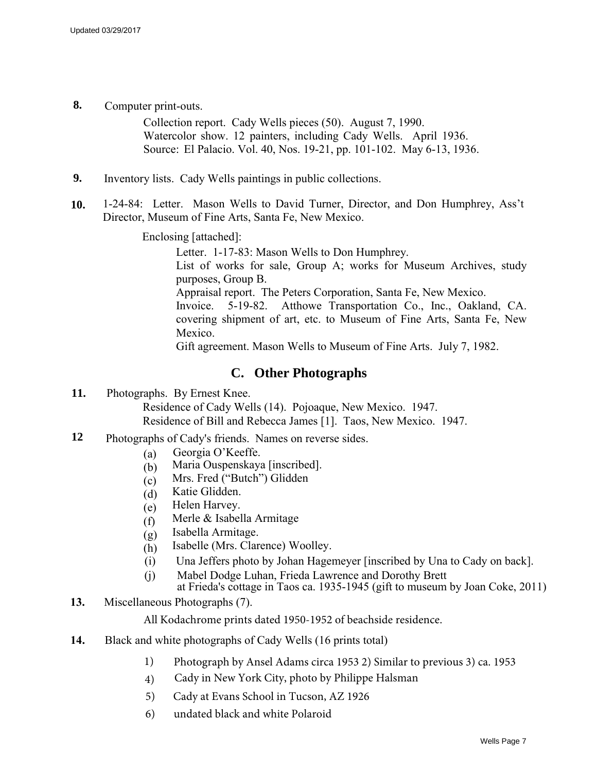**8.** Computer print-outs.

Collection report. Cady Wells pieces (50). August 7, 1990. Watercolor show. 12 painters, including Cady Wells. April 1936. Source: El Palacio. Vol. 40, Nos. 19-21, pp. 101-102. May 6-13, 1936.

- **9.** Inventory lists. Cady Wells paintings in public collections.
- **10.** 1-24-84: Letter. Mason Wells to David Turner, Director, and Don Humphrey, Ass't Director, Museum of Fine Arts, Santa Fe, New Mexico.

Enclosing [attached]:

Letter. 1-17-83: Mason Wells to Don Humphrey. List of works for sale, Group A; works for Museum Archives, study purposes, Group B. Appraisal report. The Peters Corporation, Santa Fe, New Mexico. Invoice. 5-19-82. Atthowe Transportation Co., Inc., Oakland, CA. covering shipment of art, etc. to Museum of Fine Arts, Santa Fe, New Mexico.

Gift agreement. Mason Wells to Museum of Fine Arts. July 7, 1982.

### **C. Other Photographs**

**11.** Photographs. By Ernest Knee.

Residence of Cady Wells (14). Pojoaque, New Mexico. 1947. Residence of Bill and Rebecca James [1]. Taos, New Mexico. 1947.

- **12** Photographs of Cady's friends. Names on reverse sides.
	- (a) Georgia O'Keeffe.
	- (b) Maria Ouspenskaya [inscribed].
	- (c) Mrs. Fred ("Butch") Glidden
	- (d) Katie Glidden.
	- (e) Helen Harvey.
	- (f) Merle & Isabella Armitage
	- (g) Isabella Armitage.
	- (h) Isabelle (Mrs. Clarence) Woolley.
	- (i) Una Jeffers photo by Johan Hagemeyer [inscribed by Una to Cady on back].
	- (j) Mabel Dodge Luhan, Frieda Lawrence and Dorothy Brett
		- at Frieda's cottage in Taos ca. 1935-1945 (gift to museum by Joan Coke, 2011)
- **13.** Miscellaneous Photographs (7).

All Kodachrome prints dated 1950-1952 of beachside residence.

- **14.** Black and white photographs of Cady Wells (16 prints total)
	- 1) Photograph by Ansel Adams circa 1953 2) Similar to previous 3) ca. 1953
	- 4) Cady in New York City, photo by Philippe Halsman
	- 5) Cady at Evans School in Tucson, AZ 1926
	- 6) undated black and white Polaroid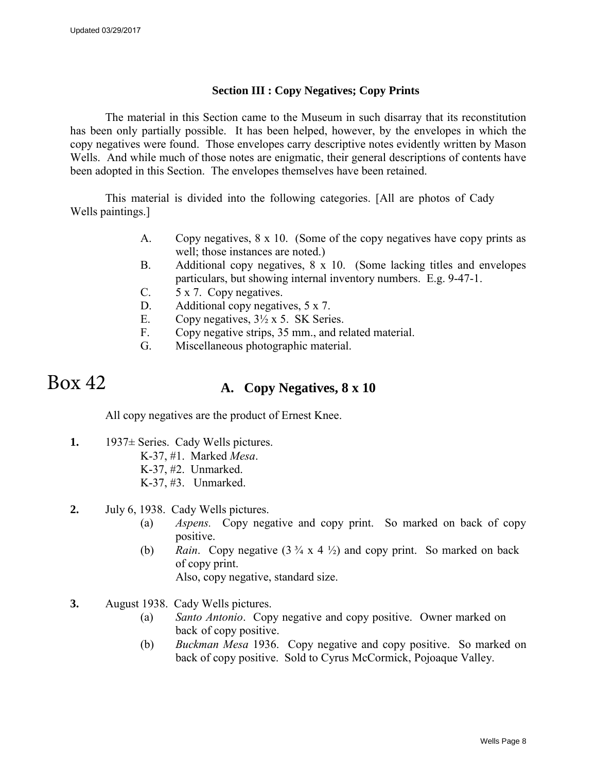#### **Section III : Copy Negatives; Copy Prints**

The material in this Section came to the Museum in such disarray that its reconstitution has been only partially possible. It has been helped, however, by the envelopes in which the copy negatives were found. Those envelopes carry descriptive notes evidently written by Mason Wells. And while much of those notes are enigmatic, their general descriptions of contents have been adopted in this Section. The envelopes themselves have been retained.

This material is divided into the following categories. [All are photos of Cady Wells paintings.]

- A. Copy negatives, 8 x 10. (Some of the copy negatives have copy prints as well; those instances are noted.)
- B. Additional copy negatives, 8 x 10. (Some lacking titles and envelopes particulars, but showing internal inventory numbers. E.g. 9-47-1.
- C. 5 x 7. Copy negatives.
- D. Additional copy negatives, 5 x 7.
- E. Copy negatives,  $3\frac{1}{2} \times 5$ . SK Series.
- F. Copy negative strips, 35 mm., and related material.
- G. Miscellaneous photographic material.

#### **A. Copy Negatives, 8 x 10**  Box 42

All copy negatives are the product of Ernest Knee.

- **1.** 1937± Series. Cady Wells pictures.
	- K-37, #1. Marked *Mesa*.
	- K-37, #2. Unmarked.
	- K-37, #3. Unmarked.
- **2.** July 6, 1938. Cady Wells pictures.
	- (a) *Aspens.* Copy negative and copy print. So marked on back of copy positive.
	- (b) *Rain.* Copy negative  $(3 \frac{3}{4} \times 4 \frac{1}{2})$  and copy print. So marked on back of copy print.

Also, copy negative, standard size.

- **3.** August 1938. Cady Wells pictures.
	- (a) *Santo Antonio*. Copy negative and copy positive. Owner marked on back of copy positive.
	- (b) *Buckman Mesa* 1936. Copy negative and copy positive. So marked on back of copy positive. Sold to Cyrus McCormick, Pojoaque Valley.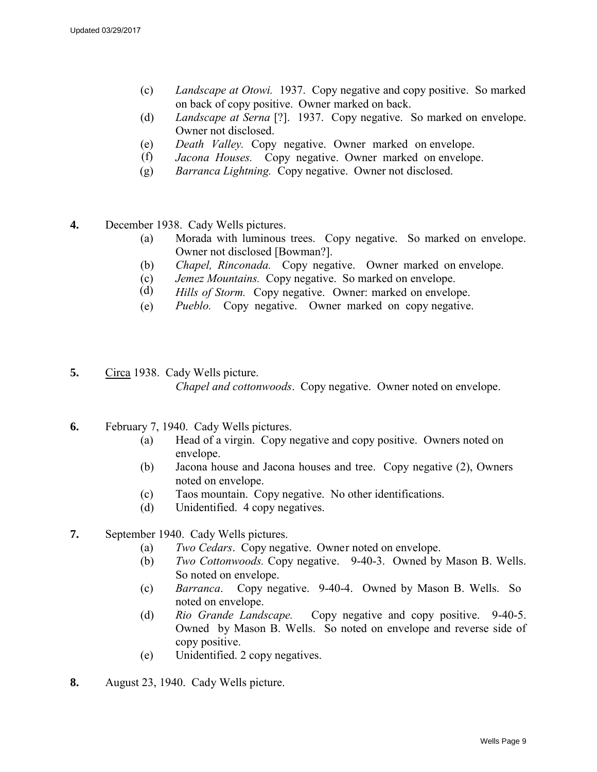- (c) *Landscape at Otowi.* 1937. Copy negative and copy positive. So marked on back of copy positive. Owner marked on back.
- (d) *Landscape at Serna* [?]. 1937. Copy negative. So marked on envelope. Owner not disclosed.
- (e) *Death Valley.* Copy negative. Owner marked on envelope.
- (f) *Jacona Houses.* Copy negative. Owner marked on envelope.
- (g) *Barranca Lightning.* Copy negative. Owner not disclosed.
- **4.** December 1938. Cady Wells pictures.
	- (a) Morada with luminous trees. Copy negative. So marked on envelope. Owner not disclosed [Bowman?].
	- (b) *Chapel, Rinconada.* Copy negative. Owner marked on envelope.
	- (c) *Jemez Mountains.* Copy negative. So marked on envelope.
	- (d) *Hills of Storm.* Copy negative. Owner: marked on envelope.
	- (e) *Pueblo.* Copy negative. Owner marked on copy negative.
- **5.** Circa 1938. Cady Wells picture. *Chapel and cottonwoods*. Copy negative. Owner noted on envelope.
- **6.** February 7, 1940. Cady Wells pictures.
	- (a) Head of a virgin. Copy negative and copy positive. Owners noted on envelope.
	- (b) Jacona house and Jacona houses and tree. Copy negative (2), Owners noted on envelope.
	- (c) Taos mountain. Copy negative. No other identifications.
	- (d) Unidentified. 4 copy negatives.
- **7.** September 1940. Cady Wells pictures.
	- (a) *Two Cedars*. Copy negative. Owner noted on envelope.
	- (b) *Two Cottonwoods.* Copy negative. 9-40-3. Owned by Mason B. Wells. So noted on envelope.
	- (c) *Barranca*. Copy negative. 9-40-4. Owned by Mason B. Wells. So noted on envelope.
	- (d) *Rio Grande Landscape.* Copy negative and copy positive. 9-40-5. Owned by Mason B. Wells. So noted on envelope and reverse side of copy positive.
	- (e) Unidentified. 2 copy negatives.
- **8.** August 23, 1940. Cady Wells picture.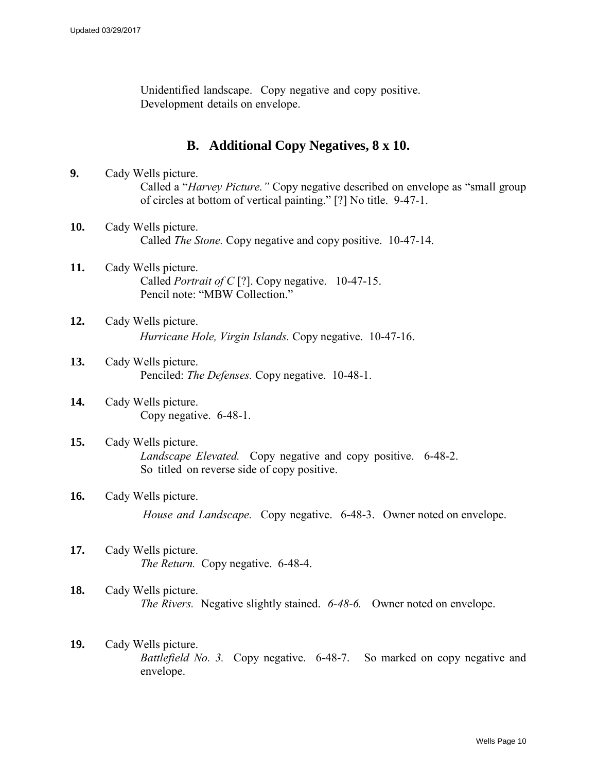Unidentified landscape. Copy negative and copy positive. Development details on envelope.

## **B. Additional Copy Negatives, 8 x 10.**

- **9.** Cady Wells picture. Called a "*Harvey Picture."* Copy negative described on envelope as "small group of circles at bottom of vertical painting." [?] No title. 9-47-1.
- **10.** Cady Wells picture. Called *The Stone.* Copy negative and copy positive. 10-47-14.
- **11.** Cady Wells picture. Called *Portrait of C* [?]. Copy negative. 10-47-15. Pencil note: "MBW Collection."
- **12.** Cady Wells picture. *Hurricane Hole, Virgin Islands.* Copy negative. 10-47-16.
- **13.** Cady Wells picture. Penciled: *The Defenses.* Copy negative.10-48-1.
- **14.** Cady Wells picture. Copy negative. 6-48-1.
- **15.** Cady Wells picture. *Landscape Elevated.* Copy negative and copy positive. 6-48-2. So titled on reverse side of copy positive.
- **16.** Cady Wells picture. *House and Landscape.* Copy negative. 6-48-3. Owner noted on envelope.
- **17.** Cady Wells picture. *The Return.* Copy negative. 6-48-4.
- **18.** Cady Wells picture. *The Rivers.* Negative slightly stained. *6-48-6.* Owner noted on envelope.
- **19.** Cady Wells picture. *Battlefield No. 3.* Copy negative. 6-48-7. So marked on copy negative and envelope.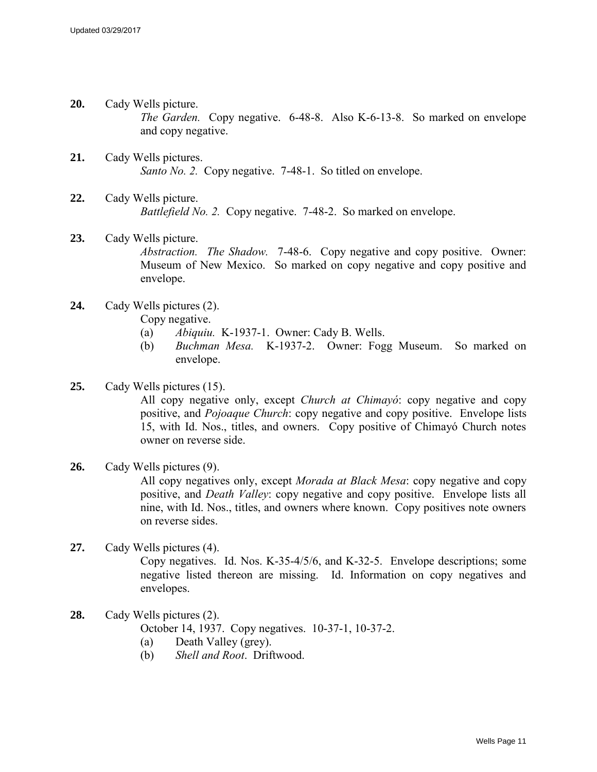- **20.** Cady Wells picture. *The Garden.* Copy negative. 6-48-8. Also K-6-13-8. So marked on envelope and copy negative.
- **21.** Cady Wells pictures. *Santo No. 2.* Copy negative. 7-48-1. So titled on envelope.
- **22.** Cady Wells picture. *Battlefield No. 2.* Copy negative. 7-48-2. So marked on envelope.
- **23.** Cady Wells picture. *Abstraction. The Shadow.* 7-48-6. Copy negative and copy positive. Owner: Museum of New Mexico. So marked on copy negative and copy positive and envelope.
- **24.** Cady Wells pictures (2).

Copy negative.

- (a) *Abiquiu.* K-1937-1. Owner: Cady B. Wells.
- (b) *Buchman Mesa.* K-1937-2. Owner: Fogg Museum. So marked on envelope.

#### **25.** Cady Wells pictures (15).

All copy negative only, except *Church at Chimayó*: copy negative and copy positive, and *Pojoaque Church*: copy negative and copy positive. Envelope lists 15, with Id. Nos., titles, and owners. Copy positive of Chimayó Church notes owner on reverse side.

#### **26.** Cady Wells pictures (9).

All copy negatives only, except *Morada at Black Mesa*: copy negative and copy positive, and *Death Valley*: copy negative and copy positive. Envelope lists all nine, with Id. Nos., titles, and owners where known. Copy positives note owners on reverse sides.

#### **27.** Cady Wells pictures (4).

Copy negatives. Id. Nos. K-35-4/5/6, and K-32-5. Envelope descriptions; some negative listed thereon are missing. Id. Information on copy negatives and envelopes.

- **28.** Cady Wells pictures (2). October 14, 1937. Copy negatives. 10-37-1, 10-37-2. (a) Death Valley (grey).
	- (b) *Shell and Root*. Driftwood.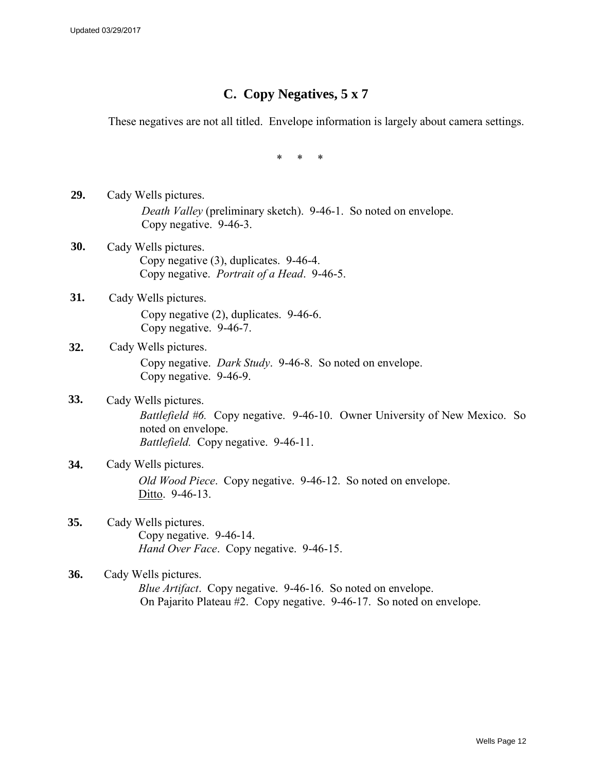## **C. Copy Negatives, 5 x 7**

These negatives are not all titled. Envelope information is largely about camera settings.

\* \* \*

- **29.** Cady Wells pictures. *Death Valley* (preliminary sketch). 9-46-1. So noted on envelope. Copy negative. 9-46-3.
- **30.** Cady Wells pictures. Copy negative (3), duplicates. 9-46-4. Copy negative. *Portrait of a Head*. 9-46-5.
- **31.** Cady Wells pictures. Copy negative (2), duplicates. 9-46-6. Copy negative. 9-46-7.
- **32.** Cady Wells pictures. Copy negative. *Dark Study*. 9-46-8. So noted on envelope. Copy negative. 9-46-9.
- **33.** Cady Wells pictures. *Battlefield #6.* Copy negative. 9-46-10. Owner University of New Mexico. So noted on envelope. *Battlefield.* Copy negative. 9-46-11.
- **34.** Cady Wells pictures. *Old Wood Piece*. Copy negative. 9-46-12. So noted on envelope. Ditto. 9-46-13.
- **35.** Cady Wells pictures. Copy negative. 9-46-14. *Hand Over Face*. Copy negative. 9-46-15.
- **36.** Cady Wells pictures. *Blue Artifact*. Copy negative. 9-46-16. So noted on envelope. On Pajarito Plateau #2. Copy negative. 9-46-17. So noted on envelope.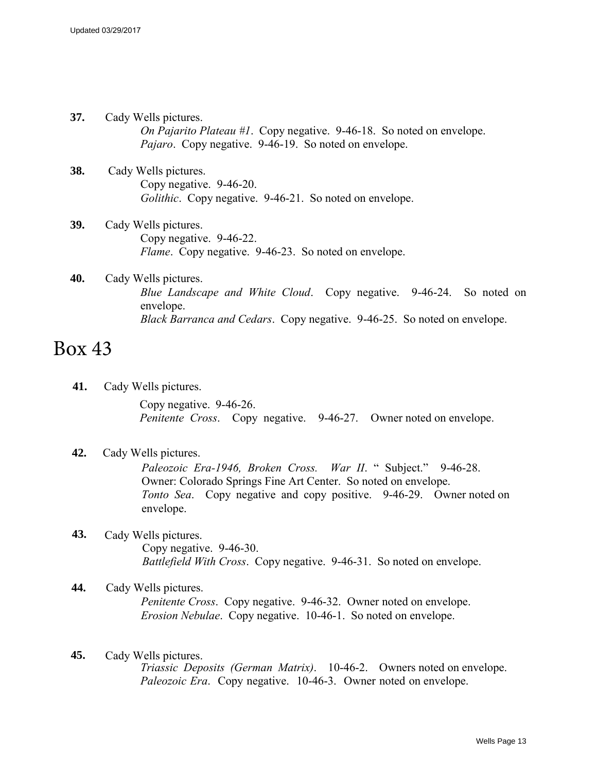- **37.** Cady Wells pictures. *On Pajarito Plateau #1*. Copy negative. 9-46-18. So noted on envelope. *Pajaro*. Copy negative. 9-46-19. So noted on envelope.
- **38.** Cady Wells pictures. Copy negative. 9-46-20. *Golithic*. Copy negative. 9-46-21. So noted on envelope.
- **39.** Cady Wells pictures. Copy negative. 9-46-22. *Flame*. Copy negative. 9-46-23. So noted on envelope.
- **40.** Cady Wells pictures. *Blue Landscape and White Cloud*. Copy negative. 9-46-24. So noted on envelope. *Black Barranca and Cedars*. Copy negative. 9-46-25. So noted on envelope.

# Box 43

**41.** Cady Wells pictures.

Copy negative. 9-46-26. *Penitente Cross*. Copy negative. 9-46-27. Owner noted on envelope.

#### **42.** Cady Wells pictures.

*Paleozoic Era-1946, Broken Cross. War II*. " Subject." 9-46-28. Owner: Colorado Springs Fine Art Center. So noted on envelope. *Tonto Sea*. Copy negative and copy positive. 9-46-29. Owner noted on envelope.

- **43.** Cady Wells pictures. Copy negative. 9-46-30. *Battlefield With Cross*. Copy negative. 9-46-31. So noted on envelope.
- **44.** Cady Wells pictures. *Penitente Cross*. Copy negative. 9-46-32. Owner noted on envelope. *Erosion Nebulae*. Copy negative. 10-46-1. So noted on envelope.
- **45.** Cady Wells pictures. *Triassic Deposits (German Matrix)*. 10-46-2. Owners noted on envelope. *Paleozoic Era*. Copy negative. 10-46-3. Owner noted on envelope.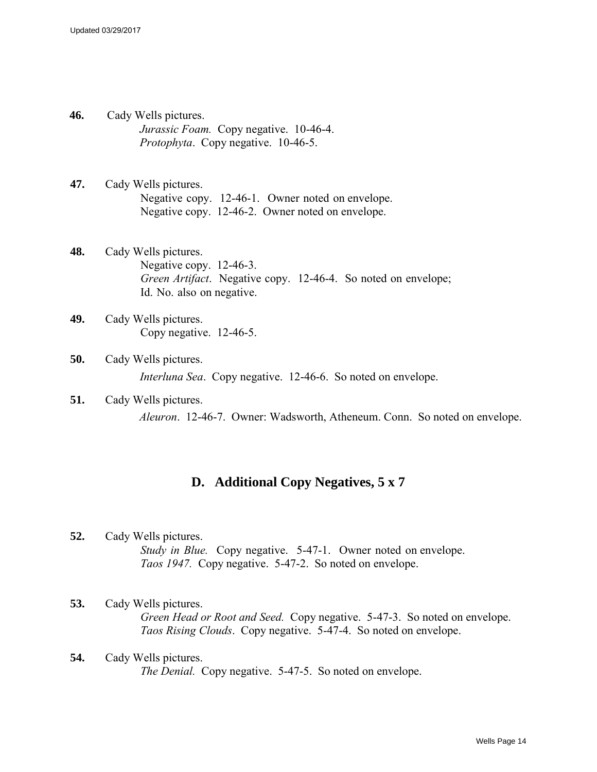- **46.** Cady Wells pictures. *Jurassic Foam.* Copy negative. 10-46-4. *Protophyta*. Copy negative. 10-46-5.
- **47.** Cady Wells pictures. Negative copy. 12-46-1. Owner noted on envelope. Negative copy. 12-46-2. Owner noted on envelope.
- **48.** Cady Wells pictures. Negative copy. 12-46-3. *Green Artifact*. Negative copy. 12-46-4. So noted on envelope; Id. No. also on negative.
- **49.** Cady Wells pictures. Copy negative. 12-46-5.
- **50.** Cady Wells pictures. *Interluna Sea*. Copy negative. 12-46-6. So noted on envelope.
- **51.** Cady Wells pictures. *Aleuron*. 12-46-7. Owner: Wadsworth, Atheneum. Conn. So noted on envelope.

## **D. Additional Copy Negatives, 5 x 7**

**52.** Cady Wells pictures. *Study in Blue.* Copy negative. 5-47-1. Owner noted on envelope. *Taos 1947.* Copy negative. 5-47-2. So noted on envelope.

### **53.** Cady Wells pictures. *Green Head or Root and Seed.* Copy negative. 5-47-3. So noted on envelope. *Taos Rising Clouds*. Copy negative. 5-47-4. So noted on envelope.

**54.** Cady Wells pictures. *The Denial.* Copy negative. 5-47-5. So noted on envelope.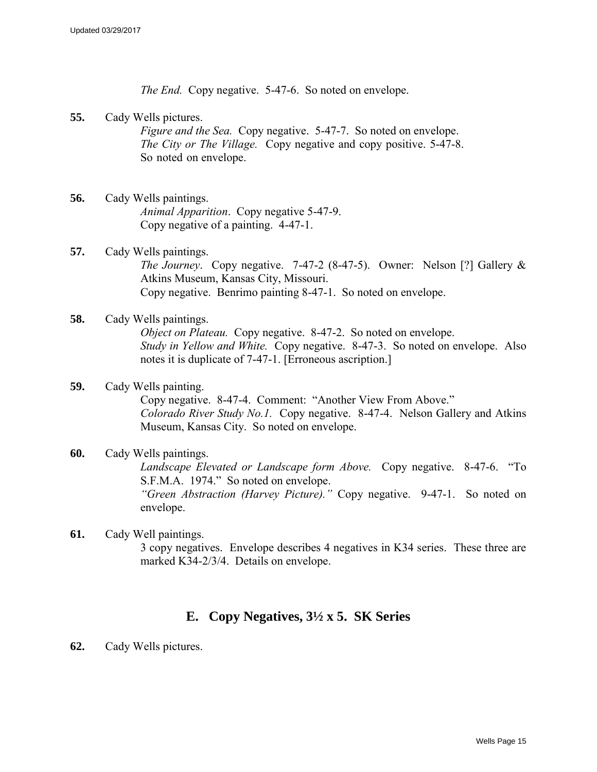*The End.* Copy negative. 5-47-6. So noted on envelope.

**55.** Cady Wells pictures.

*Figure and the Sea.* Copy negative. 5-47-7. So noted on envelope. *The City or The Village.* Copy negative and copy positive. 5-47-8. So noted on envelope.

- **56.** Cady Wells paintings. *Animal Apparition*. Copy negative 5-47-9. Copy negative of a painting. 4-47-1.
- **57.** Cady Wells paintings. *The Journey*. Copy negative. 7-47-2 (8-47-5). Owner: Nelson [?] Gallery & Atkins Museum, Kansas City, Missouri. Copy negative. Benrimo painting 8-47-1. So noted on envelope.
- **58.** Cady Wells paintings. *Object on Plateau.* Copy negative. 8-47-2. So noted on envelope. *Study in Yellow and White.* Copy negative. 8-47-3. So noted on envelope. Also notes it is duplicate of 7-47-1. [Erroneous ascription.]
- **59.** Cady Wells painting. Copy negative. 8-47-4. Comment: "Another View From Above." *Colorado River Study No.1.* Copy negative. 8-47-4. Nelson Gallery and Atkins Museum, Kansas City. So noted on envelope.
- **60.** Cady Wells paintings. *Landscape Elevated or Landscape form Above.* Copy negative. 8-47-6. "To S.F.M.A. 1974." So noted on envelope. *"Green Abstraction (Harvey Picture)."* Copy negative. 9-47-1. So noted on envelope.
- **61.** Cady Well paintings. 3 copy negatives. Envelope describes 4 negatives in K34 series. These three are marked K34-2/3/4. Details on envelope.

## **E. Copy Negatives, 3½ x 5. SK Series**

**62.** Cady Wells pictures.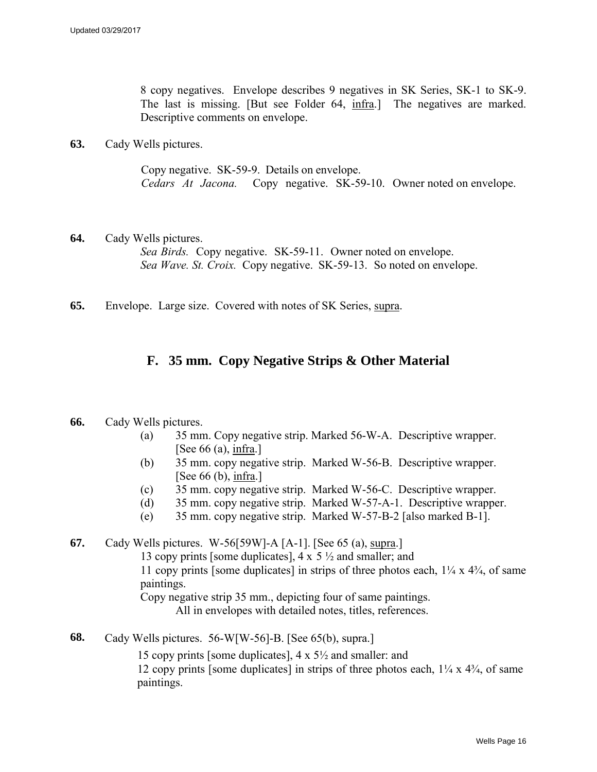8 copy negatives. Envelope describes 9 negatives in SK Series, SK-1 to SK-9. The last is missing. [But see Folder 64, infra.] The negatives are marked. Descriptive comments on envelope.

**63.** Cady Wells pictures.

Copy negative. SK-59-9. Details on envelope. *Cedars At Jacona.* Copy negative. SK-59-10. Owner noted on envelope.

- **64.** Cady Wells pictures. *Sea Birds.* Copy negative. SK-59-11. Owner noted on envelope. *Sea Wave. St. Croix.* Copy negative. SK-59-13. So noted on envelope.
- **65.** Envelope. Large size. Covered with notes of SK Series, supra.

## **F. 35 mm. Copy Negative Strips & Other Material**

- **66.** Cady Wells pictures.
	- (a) 35 mm. Copy negative strip. Marked 56-W-A. Descriptive wrapper. [See  $66$  (a), infra.]
	- (b) 35 mm. copy negative strip. Marked W-56-B. Descriptive wrapper. [See 66 (b), infra.]
	- (c) 35 mm. copy negative strip. Marked W-56-C. Descriptive wrapper.
	- (d) 35 mm. copy negative strip. Marked W-57-A-1. Descriptive wrapper.
	- (e) 35 mm. copy negative strip. Marked W-57-B-2 [also marked B-1].

**67.** Cady Wells pictures. W-56[59W]-A [A-1]. [See 65 (a), supra.] 13 copy prints [some duplicates],  $4 \times 5 \frac{1}{2}$  and smaller; and 11 copy prints [some duplicates] in strips of three photos each,  $1/4 \times 4/4$ , of same paintings. Copy negative strip 35 mm., depicting four of same paintings. All in envelopes with detailed notes, titles, references.

**68.** Cady Wells pictures. 56-W[W-56]-B. [See 65(b), supra.]

15 copy prints [some duplicates], 4 x 5½ and smaller: and 12 copy prints [some duplicates] in strips of three photos each,  $1\frac{1}{4}$  x  $4\frac{3}{4}$ , of same paintings.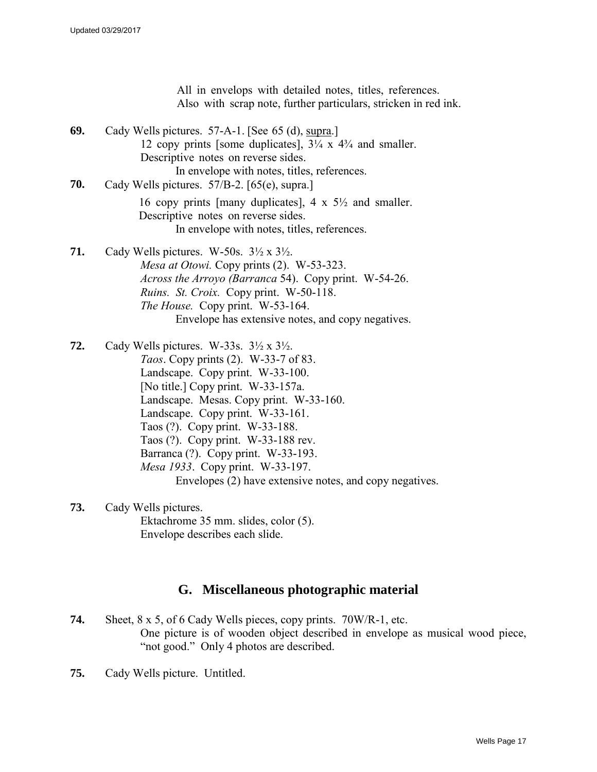All in envelops with detailed notes, titles, references. Also with scrap note, further particulars, stricken in red ink. **69.** Cady Wells pictures. 57-A-1. [See 65 (d), supra.] 12 copy prints [some duplicates],  $3\frac{1}{4} \times 4\frac{3}{4}$  and smaller. Descriptive notes on reverse sides. In envelope with notes, titles, references. **70.** Cady Wells pictures. 57/B-2. [65(e), supra.] 16 copy prints [many duplicates], 4  $\times$  5 $\frac{1}{2}$  and smaller. Descriptive notes on reverse sides. In envelope with notes, titles, references. **71.** Cady Wells pictures. W-50s. 3½ x 3½. *Mesa at Otowi.* Copy prints (2). W-53-323. *Across the Arroyo (Barranca* 54). Copy print. W-54-26. *Ruins. St. Croix.* Copy print. W-50-118. *The House.* Copy print. W-53-164. Envelope has extensive notes, and copy negatives. **72.** Cady Wells pictures. W-33s. 3½ x 3½. *Taos*. Copy prints (2). W-33-7 of 83. Landscape. Copy print. W-33-100. [No title.] Copy print. W-33-157a. Landscape. Mesas. Copy print. W-33-160. Landscape. Copy print. W-33-161.

- Taos (?). Copy print. W-33-188.
- Taos (?). Copy print. W-33-188 rev.
- Barranca (?). Copy print. W-33-193.
- *Mesa 1933*. Copy print. W-33-197.

Envelopes (2) have extensive notes, and copy negatives.

**73.** Cady Wells pictures. Ektachrome 35 mm. slides, color (5). Envelope describes each slide.

## **G. Miscellaneous photographic material**

- **74.** Sheet, 8 x 5, of 6 Cady Wells pieces, copy prints. 70W/R-1, etc. One picture is of wooden object described in envelope as musical wood piece, "not good." Only 4 photos are described.
- **75.** Cady Wells picture. Untitled.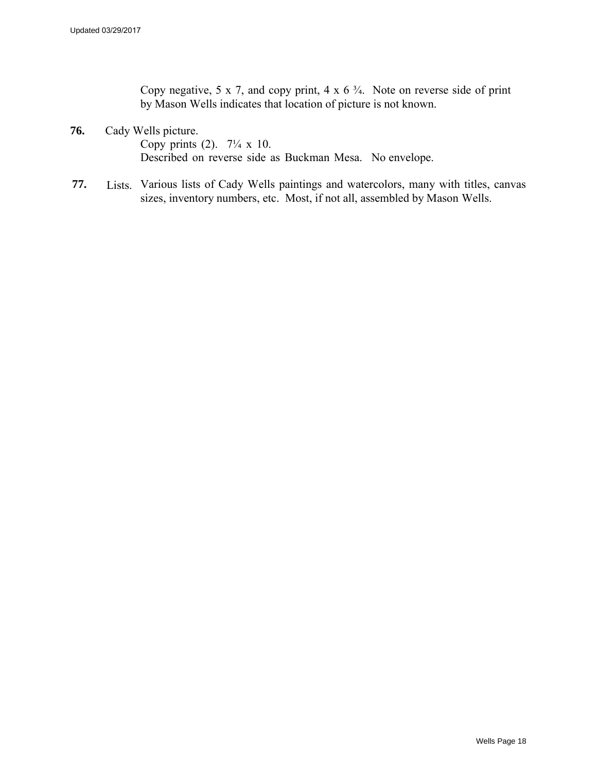Copy negative, 5 x 7, and copy print, 4 x  $6\frac{3}{4}$ . Note on reverse side of print by Mason Wells indicates that location of picture is not known.

**76.** Cady Wells picture.

Copy prints (2).  $7\frac{1}{4} \times 10$ . Described on reverse side as Buckman Mesa. No envelope.

**77.** Lists. Various lists of Cady Wells paintings and watercolors, many with titles, canvas sizes, inventory numbers, etc. Most, if not all, assembled by Mason Wells.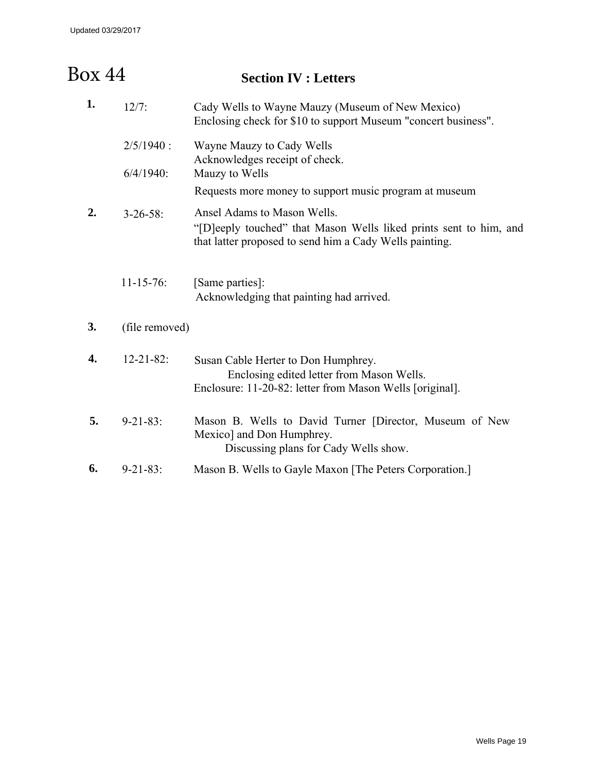#### **Section IV : Letters**  Box 44

| 1. | $12/7$ :         | Cady Wells to Wayne Mauzy (Museum of New Mexico)<br>Enclosing check for \$10 to support Museum "concert business".                                          |
|----|------------------|-------------------------------------------------------------------------------------------------------------------------------------------------------------|
|    | $2/5/1940$ :     | Wayne Mauzy to Cady Wells<br>Acknowledges receipt of check.                                                                                                 |
|    | $6/4/1940$ :     | Mauzy to Wells                                                                                                                                              |
|    |                  | Requests more money to support music program at museum                                                                                                      |
| 2. | $3 - 26 - 58$    | Ansel Adams to Mason Wells.<br>"[D]eeply touched" that Mason Wells liked prints sent to him, and<br>that latter proposed to send him a Cady Wells painting. |
|    | $11-15-76$ :     | [Same parties]:<br>Acknowledging that painting had arrived.                                                                                                 |
| 3. | (file removed)   |                                                                                                                                                             |
| 4. | $12 - 21 - 82$ : | Susan Cable Herter to Don Humphrey.<br>Enclosing edited letter from Mason Wells.<br>Enclosure: 11-20-82: letter from Mason Wells [original].                |
| 5. | $9 - 21 - 83$ :  | Mason B. Wells to David Turner [Director, Museum of New<br>Mexico] and Don Humphrey.<br>Discussing plans for Cady Wells show.                               |
| 6. | $9 - 21 - 83$ :  | Mason B. Wells to Gayle Maxon [The Peters Corporation.]                                                                                                     |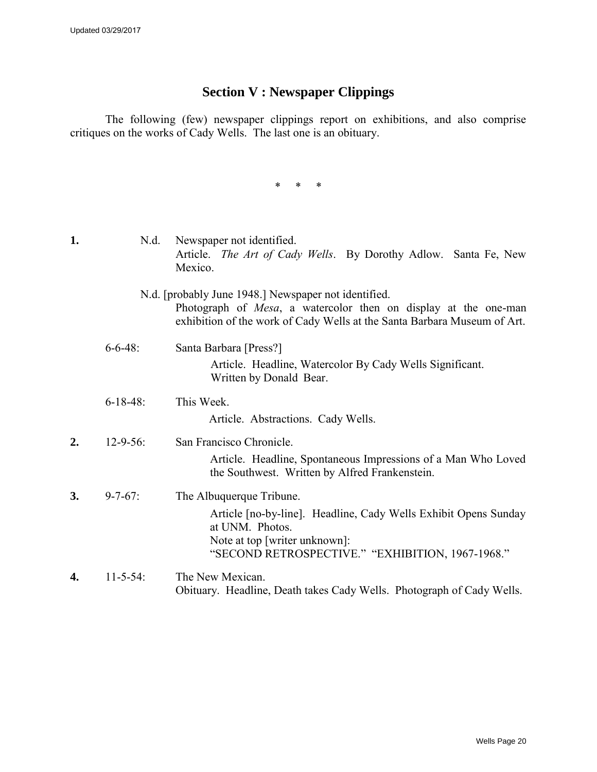## **Section V : Newspaper Clippings**

The following (few) newspaper clippings report on exhibitions, and also comprise critiques on the works of Cady Wells. The last one is an obituary.

\* \* \*

| 1. | N.d.            | Newspaper not identified.<br>Article. <i>The Art of Cady Wells</i> . By Dorothy Adlow. Santa Fe, New<br>Mexico.                                                                                     |
|----|-----------------|-----------------------------------------------------------------------------------------------------------------------------------------------------------------------------------------------------|
|    |                 | N.d. [probably June 1948.] Newspaper not identified.<br>Photograph of Mesa, a watercolor then on display at the one-man<br>exhibition of the work of Cady Wells at the Santa Barbara Museum of Art. |
|    | $6 - 6 - 48$ :  | Santa Barbara [Press?]<br>Article. Headline, Watercolor By Cady Wells Significant.<br>Written by Donald Bear.                                                                                       |
|    | $6 - 18 - 48$ : | This Week.<br>Article. Abstractions. Cady Wells.                                                                                                                                                    |
| 2. | $12 - 9 - 56$ : | San Francisco Chronicle.<br>Article. Headline, Spontaneous Impressions of a Man Who Loved<br>the Southwest. Written by Alfred Frankenstein.                                                         |
| 3. | $9 - 7 - 67$ :  | The Albuquerque Tribune.<br>Article [no-by-line]. Headline, Cady Wells Exhibit Opens Sunday<br>at UNM. Photos.<br>Note at top [writer unknown]:<br>"SECOND RETROSPECTIVE." "EXHIBITION, 1967-1968." |
| 4. | $11 - 5 - 54$ : | The New Mexican.<br>Obituary. Headline, Death takes Cady Wells. Photograph of Cady Wells.                                                                                                           |